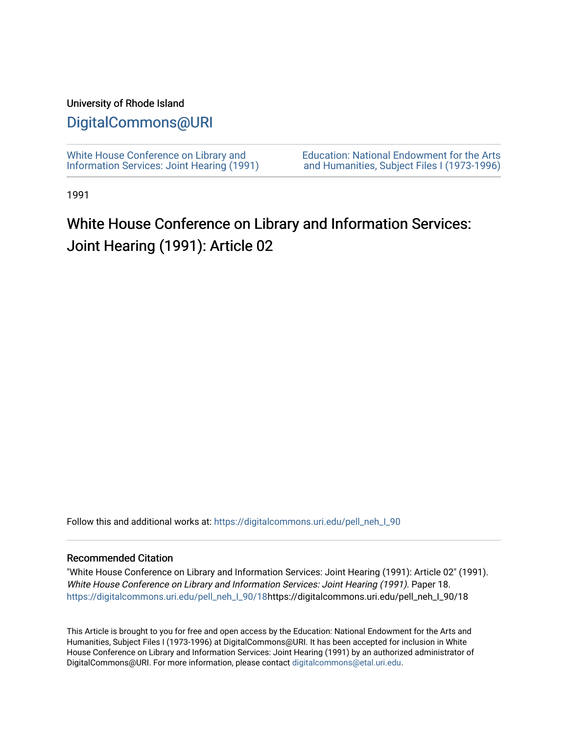#### University of Rhode Island

#### [DigitalCommons@URI](https://digitalcommons.uri.edu/)

[White House Conference on Library and](https://digitalcommons.uri.edu/pell_neh_I_90) [Information Services: Joint Hearing \(1991\)](https://digitalcommons.uri.edu/pell_neh_I_90) [Education: National Endowment for the Arts](https://digitalcommons.uri.edu/pell_neh_I)  [and Humanities, Subject Files I \(1973-1996\)](https://digitalcommons.uri.edu/pell_neh_I) 

1991

## White House Conference on Library and Information Services: Joint Hearing (1991): Article 02

Follow this and additional works at: https://digitalcommons.uri.edu/pell\_neh\_I\_90

#### Recommended Citation

"White House Conference on Library and Information Services: Joint Hearing (1991): Article 02" (1991). White House Conference on Library and Information Services: Joint Hearing (1991). Paper 18. [https://digitalcommons.uri.edu/pell\\_neh\\_I\\_90/18h](https://digitalcommons.uri.edu/pell_neh_I_90/18?utm_source=digitalcommons.uri.edu%2Fpell_neh_I_90%2F18&utm_medium=PDF&utm_campaign=PDFCoverPages)ttps://digitalcommons.uri.edu/pell\_neh\_I\_90/18

This Article is brought to you for free and open access by the Education: National Endowment for the Arts and Humanities, Subject Files I (1973-1996) at DigitalCommons@URI. It has been accepted for inclusion in White House Conference on Library and Information Services: Joint Hearing (1991) by an authorized administrator of DigitalCommons@URI. For more information, please contact [digitalcommons@etal.uri.edu.](mailto:digitalcommons@etal.uri.edu)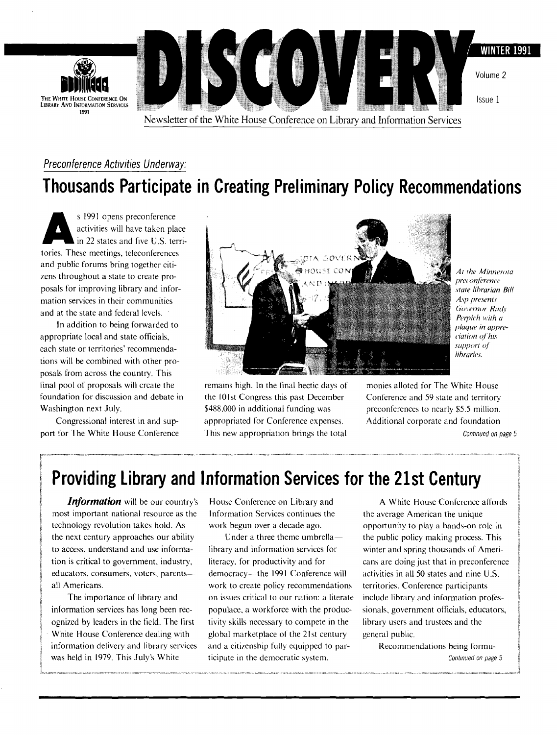

## Preconference Activities Underway: **Thousands Participate in Creating Preliminary Policy Recommendations**

s 1991 opens preconference<br>activities will have taken pla<br>in 22 states and five U.S. termines activities will have taken place in 22 states and five U.S. territories. These meetings, teleconferences and public forums bring together citizens throughout a state to create proposals for improving library and information services in their communities and at the state and federal levels.

In addition to being forwarded to appropriate local and state officials, each state or territories' recommendations will be combined with other proposals from across the country. This final pool of proposals will create the foundation for discussion and debate in Washington next July.

Congressional interest in and support for The White House Conference



remains high. In the final hectic days of the 101st Congress this past December \$488,000 in additional funding was appropriated for Conference expenses. This new appropriation brings the total

Al *1he Minne.w1a preconference slate lihrarian Bill Asp presents*  Governor Rudy *Perpich with a plaque in apprecia1ion of his .l'llpport Of lihraries.* 

monies alloted for The White House Conference and 59 state and territory preconferences to nearly \$5.5 million. Additional corporate and foundation Continued on page 5

**Providing Library and Information Services for the 21st Century** 

*Information* will be our country's most important national resource as the technology revolution takes hold. As the next century approaches our ability to access, understand and use information is critical to government, industry, educators, consumers, voters, parentsall Americans.

The importance of library and information services has long been recognized by leaders in the field. The first White House Conference dealing with information delivery and library services was held in 1979. This July's White

House Conference on Library and Information Services continues the work begun over a decade ago.

Under a three theme umbrellalibrary and information services for literacy, for productivity and for democracy-- the 1991 Conference will work to create policy recommendations on issues critical to our nation: a literate populace, a workforce with the productivity skills necessary to compete in the global marketplace of the 21st century and a citizenship fully equipped to participate in the democratic system.

A White House Conference affords the average American the unique opportunity to play a hands-on role in the public policy making process. This winter and spring thousands of Americans are doing just that in preconference activities in all 50 states and nine U.S. territories. Conference participants include library and information professionals, government officials, educators, library users and trustees and the general public.

> Recommendations being formu-Continued on page 5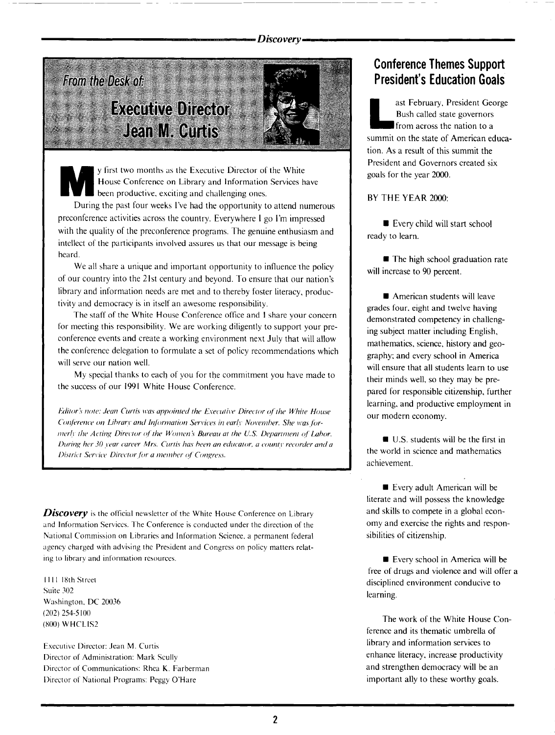**From the Desk of: Executive Director Jean M. Curtis** 

y first two months as the Executive Director of the White<br>House Conference on Library and Information Services h<br>been productive, exciting and challenging ones. House Conference on Library and Information Services have been productive. exciting and challenging ones.

During the past four weeks I've had the opportunity to attend numerous preconference activities across the country. Everywhere I go I'm impressed with the quality of the preconference programs. The genuine enthusiasm and intellect of the participants involved assures us that our message is being heard.

We all share a unique and important opportunity to influence the policy of our country into the 21st century and beyond. To ensure that our nation's library and information needs are met and to thereby foster literacy, productivity and democracy is in itself an awesome responsibility.

The staff of the White House Conference office and I share your concern for meeting this responsibility. We are working diligently to support your preconference events and create a working environment next July that will allow the conference delegation to formulate a set of policy recommendations which will serve our nation well.

My special thanks to each of you for the commitment you have made to the success of our 1991 White House Conference.

*fiditor's note: Jean Curtis was appointed the Executive Director of the White House Conference on Library and Information Services in early November. She was fornierly the Acting Director of the Women's Bureau at the U.S. Department of Labor. During her 30 year career Mrs. Curtis has been an educator, a county recorder and a District Service Director for a member of Congress.* 

*Discovery* is the official newsletter of the White House Conference on Library and Information Services. The Conference is conducted under the direction of the National Commission on Libraries and Information Science. a permanent federal agency charged with advising the President and Congress on policy matters relating to library and information resources.

1111 18th Street Suite 302 Washington. DC 20036 (202) 254~5100 (800) WHCLIS2

Executive Director: Jean M. Curtis Director of Administration: Mark Scully Director of Communications: Rhea K. Farberman Director of National Programs: Peggy O'Hare

#### **Conference Themes Support President's Education Goals**

ast February, President George Bush called state governors **f** from across the nation to a summit on the state of American education. As a result of this summit the President and Governors created six goals for the year 2000.

BY THE YEAR 2000:

**• Every child will start school** ready to learn.

**• The high school graduation rate** will increase to 90 percent.

**• American students will leave** grades four. eight and twelve having demonstrated competency in challenging subject matter including English, mathematics, science, history and geography; and every school in America will ensure that all students learn to use their minds well, so they may be prepared for responsible citizenship, further learning. and productive employment in our modem economy.

**U.S.** students will be the first in the world in science and mathematics achievement.

**Exery adult American will be** literate and will possess the knowledge and skills to compete in a global economy and exercise the rights and responsibilities of citizenship.

**Exery school in America will be** free of drugs and violence and will offer a disciplined environment conducive to learning.

The work of the White House Conference and its thematic umbrella of library and information services to enhance literacy, increase productivity and strengthen democracy will be an important ally to these worthy goals.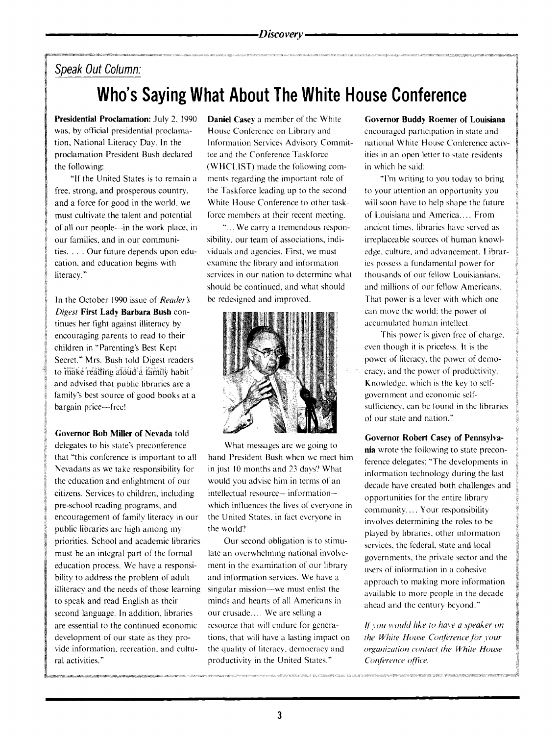#### **Speak Out Column:**

# **Who's Saying What About The White House Conference**

**Presidential Proclamation:** July 2. 1990 was, by official presidential proclamation, National Literacy Day. In the proclamation President Bush declared the following:

"If the United States is to remain a free. strong, and prosperous country, and a force for good in the world. we must cultivate the talent and potential of all our people-in the work place, in our families, and in our communities. . . . Our future depends upon education, and education begins with literacy."

In the October 1990 issue of *Reader's Diges1* **First Lady Barbara Bush** continues her fight against illiteracy by encouraging parents to read to their children in "Parenting's Best Kept Secret." Mrs. Bush told Digest readers to make reading afolid'a family habit and advised that public libraries are a family's best source of good books at a bargain price-free!

**Governor Bob Miller of Nevada** told

delegates to his state's preconference that "this conference is important to all Nevadans as we take responsibility for the education and enlightment of our citizens. Services to children, including pre-school reading programs. and encouragement of family literacy in our public libraries are high among my priorities. School and academic libraries must be an integral part of the formal education process. We have a responsibility to address the problem of adult illiteracy and the needs of those learning to speak and read English as their second language. In addition. libraries are essential to the continued economic development of our state as they provide information. recreation. and cultural activities."

**Daniel** Casey a member of the White House Conference on Library and Information Services Advisory Committee and the Conference Taskforce (WHCLIST) made the following comments regarding the important role of the Taskforce leading up to the second White House Conference to other taskforce members at their recent meeting.

"... We carry a tremendous responsibility, our team of associations. individuals and agencies. First. we must examine the library and information services in our nation to determine what should be continued, and what should be redesigned and improved.



What messages are we going to hand President Bush when we meet him in just 10 months and 23 days? What would you advise him in terms of an intellectual resource- information- which influences the lives of everyone in the United States. in fact everyone in the world'?

Our second obligation is to stimulate an overwhelming national involvement in the examination of our library and information services. We have a singular mission---we must enlist the minds and hearts of all Americans in our crusade.... We are selling a resource that will endure for generations, that will have a lasting impact on the quality of literacy. democracy and productivity in the United States."

**Governor Buddy Roemer of Louisiana**  encouraged participation in state and national White House Conference activities in an open letter to state residents in which he said:

'Tm writing to you today to bring to your attention an opportunity you will soon have to help shape the future of Louisiana and America .... From ancient times, libraries have served as irreplaceable sources of human knowledge, culture. and advancement. Libraries possess a fundamental power for thousands of our fellow Louisianians, and millions of our fellow Americans. That power is a lever with which one can move the world: the power of accumulated human intellect.

This power is given free of charge, even though it is priceless. It is the power of literacy. the power of democracy, and the power of productivity. Knowledge, which is the key to selfgovernment and economic selfsufficiency, can be found in the libraries of our state and nation."

**Governor Robert** Casey **of Pennsylva-**

**nia** wrote the following to state preconference delegates: "The developments in information technology during the last decade have created both challenges and opportunities for the entire library community.... Your responsibility involves determining the roles to be played by libraries. other information services. the federal. state and local governments, the private sector and the users of information in a cohesive approach to making more information available to more people in the decade ahead and the century beyond."

*If you would like to have a speaker on <i>the White House Conference for your*  $or$ ganization contact the White House *Conference office.*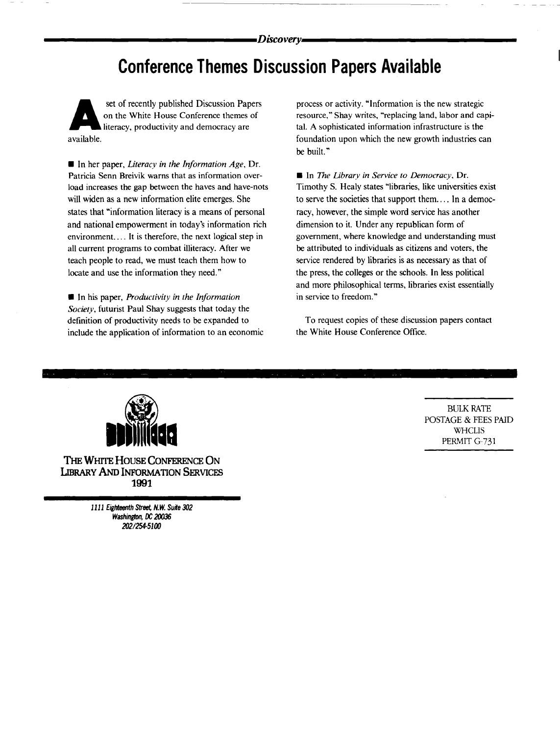## **Conference Themes Discussion Papers Available**

set of recently published Discussion Papers on the White House Conference themes of literacy, productivity and democracy are available.

• In her paper, *literacy in the Information Age,* Dr. Patricia Senn Breivik warns that as information overload increases the gap between the haves and have-nots will widen as a new information elite emerges. She states that "information literacy is a means of personal and national empowerment in today's information rich environment. ... It is therefore, the next logical step in all current programs to combat illiteracy. After we teach people to read, we must teach them how to locate and use the information they need."

• In his paper, *Productivity in the Information Society,* futurist Paul Shay suggests that today the definition of productivity needs to be expanded to include the application of information to an economic

process or activity. "Information is the new strategic resource," Shay writes, "replacing land, labor and capital. A sophisticated information infrastructure is the foundation upon which the new growth industries can be built."

• In *The Library in Service to Democracy,* Dr. Timothy S. Healy states "libraries, like universities exist to serve the societies that support them .... In a democracy, however, the simple word service has another dimension to it. Under any republican form of government, where knowledge and understanding must be attributed to individuals as citizens and voters, the service rendered by libraries is as necessary as that of the press, the colleges or the schools. In less political and more philosophical terms, libraries exist essentially in service to freedom."

To request copies of these discussion papers contact the White House Conference Office.



THE WHITE HOUSE CONFERENCE ON LIBRARY AND INFORMATION SERVICES **1991** 

> 1111 Eighteenth Street. N. *W.* Suite 302 Washington, DC 20036 *2021254-5100*

BULK RATE POSTAGE & FEES PAID **WHCLIS** PERMIT G-731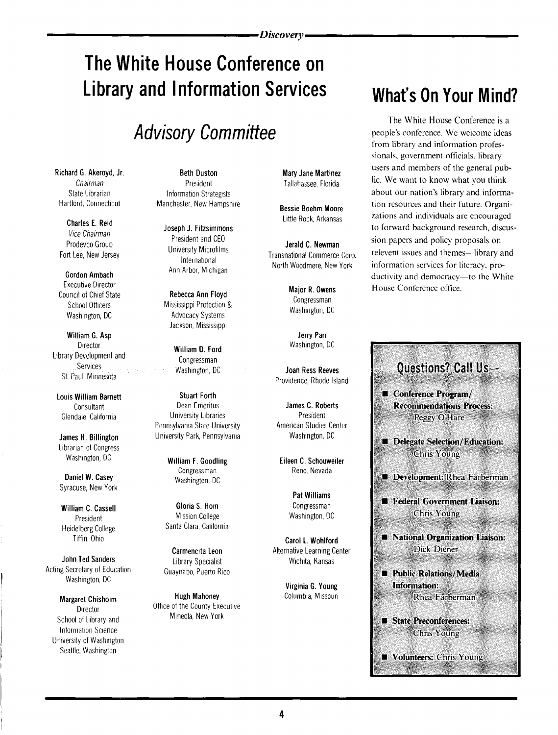# **The White House Conference on Library and Information Services**

# **Advisory Committee**

State Librarian **Information Strategists**<br>
Hartford. Connecticut **Manchester New Hamnst** 

Gordon Ambach Executive Director<br>
Council of Chief State **Rebecca Ann Floyd Major R. Owens**<br>
School Officers Mississippi Protection & Congressman<br>
Washington, DC Matvocacy Systems Mashington, DC

William G. Asp Jerry Parr<br>Director Meshington, DC Contractor Muslims D. Freed Mashington, DC Director **William D. Ford William D. Ford William D.** Ford William D. Ford William D. Ford William D. Ford William D. Ford William D. Ford William D. Ford William D. Ford William D. Ford William D. Ford William D. Ford Wil Library Development and<br>Services Washington, DC Joan Ress Reeves

**Louis William Barnett** Stuart Forth<br>Consultant Consultant Dean Fmeritus

Librarian of Congress Washington, DC **William F. Goodling Community** Eileen C. Schouweiler

Daniel W. Casey Washington, DC Syracuse, New York

Heidelberg College Santa Clara, California

**John Ted Sanders** Library Specialist Michita, Kansas<br>Acting Secretary of Education Cuavaabo Puerto Rico Washington, DC

School of Library and Information Science University of Washington Seattle, Washington

Richard G. Akeroyd, Jr. Beth Duston Mary Jane Martinez Chairman President Tallahassee, Florida Manchester, New Hampshire **Bessie Boehm Moore** 

Vice Chairman **Joseph J. Fitzsimmons**<br>Vice Chairman **Joseph J. Fitzsimmons** 

Jackson, Mississippi

Consultant Dean Emeritus James C. Roberts Glendale, California **Chicago Economisty Libraries** Clendale, California<br>Pennsylvania State University **President American Studies Center** Pennsylvania State University James H. Billington University Park, Pennsylvania Washington, DC

William C. Cassell **Gloria S. Hom** Congressman<br>President **Constanting Constanting Constanting Constanting Constanting Constanting Constanting Constanting Const President** Mission College Washington, DC

Guaynabo, Puerto Rico

Margaret Chisholm **Hugh Mahoney** Columbia, Missouri Director Office of the County Executive<br>
Director Office of the County Executive<br>
Mineola, New York

Charles E. Reid **Little Rock, Arkansas** 

President and CEO **Jerald C. Newman**<br>Prodevco Group **Prodevice Corp.** University Microfilms Fort Lee, New Jersey International Commerce Corp.<br>International Method Method Commerce Corp. Infernational Manshallonial Commerce Corp.<br>Ann Arbor, Michigan North Woodmere, New York

St. Paul, Minnesota Providence, Rhode Island

Congressman Reno, Nevada

Pat Williams

Tiffin, Ohio Carol L. Wohlford Carmencita Leon Alternative Learning Center

Virginia G. Young

# **What's On Your Mind?**

The White House Conference is a people's conference. We welcome ideas from library and information professionals, government officials, library users and members of the general public. We want to know what you think about our nation's library and information resources and their future. Organizations and individuals are encouraged to forward background research, discussion papers and policy proposals on relevent issues and themes—library and information services for literacy, productivity and democracy-to the White House Conference office.

### **Ouestions? Call Us-Conference Program/ Recommendations Process:** Peggy O'Hare Delegate Selection/Education: **Chris Young Development: Rhea Farberman** Federal Government Liaison: **Chris Young National Organization Liaison:** Dick Diener Public Relations/Media Information: Rhea Farberman State Preconferences: **Chris Young**

**Volunteers: Chris Young**